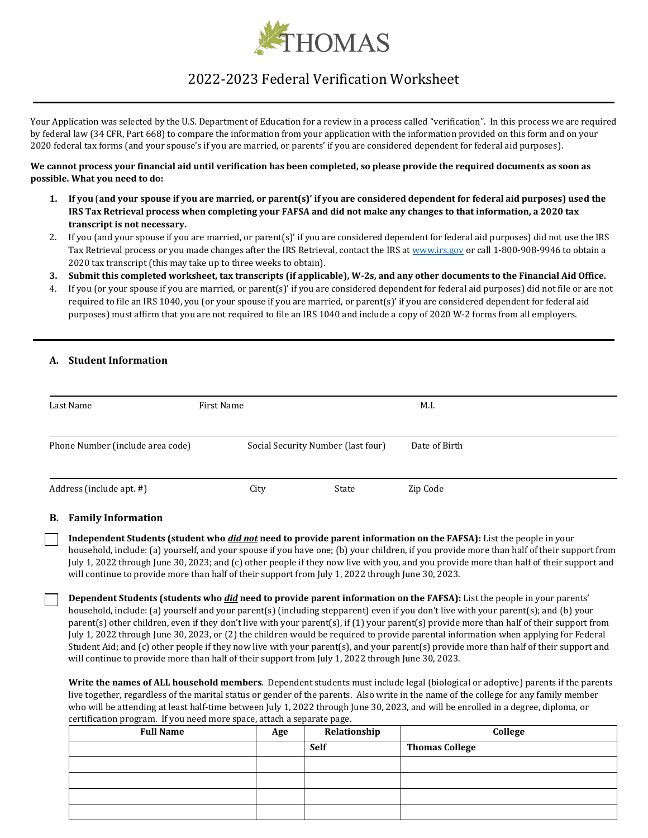

# 2022-2023 Federal Verification Worksheet

Your Application was selected by the U.S. Department of Education for a review in a process called "verification". In this process we are required by federal law (34 CFR, Part 668) to compare the information from your application with the information provided on this form and on your 2020 federal tax forms (and your spouse's if you are married, or parents' if you are considered dependent for federal aid purposes).

## **We cannot process your financial aid until verification has been completed, so please provide the required documents as soon as possible. What you need to do:**

- **1. If you** (**and your spouse if you are married, or parent(s)' if you are considered dependent for federal aid purposes) used the IRS Tax Retrieval process when completing your FAFSA and did not make any changes to that information, a 2020 tax transcript is not necessary.**
- 2. If you (and your spouse if you are married, or parent(s)' if you are considered dependent for federal aid purposes) did not use the IRS Tax Retrieval process or you made changes after the IRS Retrieval, contact the IRS at [www.irs.gov](http://www.irs.gov/) or call 1-800-908-9946 to obtain a 2020 tax transcript (this may take up to three weeks to obtain).
- **3. Submit this completed worksheet, tax transcripts (if applicable), W-2s, and any other documents to the Financial Aid Office.**
- 4. If you (or your spouse if you are married, or parent(s)' if you are considered dependent for federal aid purposes) did not file or are not required to file an IRS 1040, you (or your spouse if you are married, or parent(s)' if you are considered dependent for federal aid purposes) must affirm that you are not required to file an IRS 1040 and include a copy of 2020 W-2 forms from all employers.

## **A. Student Information**

| Last Name                        | First Name |                                    | M.I.          |  |
|----------------------------------|------------|------------------------------------|---------------|--|
| Phone Number (include area code) |            | Social Security Number (last four) | Date of Birth |  |
| Address (include apt. #)         | City       | State                              | Zip Code      |  |

## **B. Family Information**

**Independent Students (student who** *did not* **need to provide parent information on the FAFSA):** List the people in your household, include: (a) yourself, and your spouse if you have one; (b) your children, if you provide more than half of their support from July 1, 2022 through June 30, 2023; and (c) other people if they now live with you, and you provide more than half of their support and will continue to provide more than half of their support from July 1, 2022 through June 30, 2023.

**Dependent Students (students who** *did* **need to provide parent information on the FAFSA):** List the people in your parents' household, include: (a) yourself and your parent(s) (including stepparent) even if you don't live with your parent(s); and (b) your parent(s) other children, even if they don't live with your parent(s), if (1) your parent(s) provide more than half of their support from July 1, 2022 through June 30, 2023, or (2) the children would be required to provide parental information when applying for Federal Student Aid; and (c) other people if they now live with your parent(s), and your parent(s) provide more than half of their support and will continue to provide more than half of their support from July 1, 2022 through June 30, 2023.

**Write the names of ALL household members**. Dependent students must include legal (biological or adoptive) parents if the parents live together, regardless of the marital status or gender of the parents. Also write in the name of the college for any family member who will be attending at least half-time between July 1, 2022 through June 30, 2023, and will be enrolled in a degree, diploma, or certification program. If you need more space, attach a separate page.

| <b>Full Name</b> | Age | Relationship | College               |
|------------------|-----|--------------|-----------------------|
|                  |     | <b>Self</b>  | <b>Thomas College</b> |
|                  |     |              |                       |
|                  |     |              |                       |
|                  |     |              |                       |
|                  |     |              |                       |